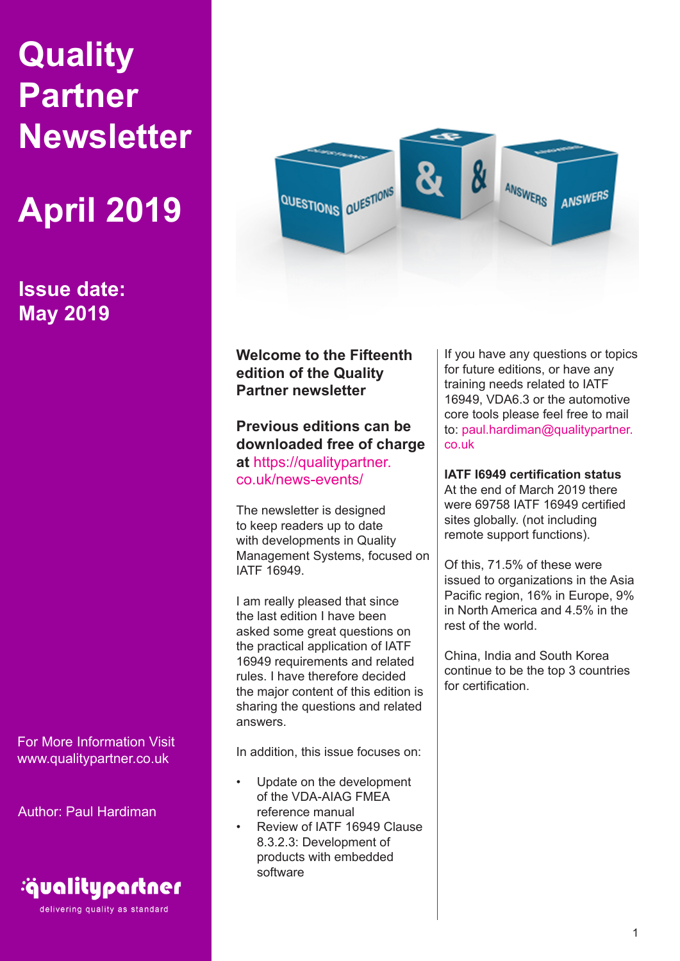# **Quality Partner Newsletter**

# **April 2019**

**Issue date: May 2019**

For More Information Visit www.qualitypartner.co.uk

Author: Paul Hardiman



delivering quality as standard



**Welcome to the Fifteenth edition of the Quality Partner newsletter**

**Previous editions can be downloaded free of charge at** https://qualitypartner. co.uk/news-events/

The newsletter is designed to keep readers up to date with developments in Quality Management Systems, focused on IATF 16949.

I am really pleased that since the last edition I have been asked some great questions on the practical application of IATF 16949 requirements and related rules. I have therefore decided the major content of this edition is sharing the questions and related answers.

In addition, this issue focuses on:

- Update on the development of the VDA-AIAG FMEA reference manual
- Review of IATF 16949 Clause 8.3.2.3: Development of products with embedded software

If you have any questions or topics for future editions, or have any training needs related to IATF 16949, VDA6.3 or the automotive core tools please feel free to mail to: paul.hardiman@qualitypartner. co.uk

**IATF I6949 certification status**

At the end of March 2019 there were 69758 IATF 16949 certified sites globally. (not including remote support functions).

Of this, 71.5% of these were issued to organizations in the Asia Pacific region, 16% in Europe, 9% in North America and 4.5% in the rest of the world.

China, India and South Korea continue to be the top 3 countries for certification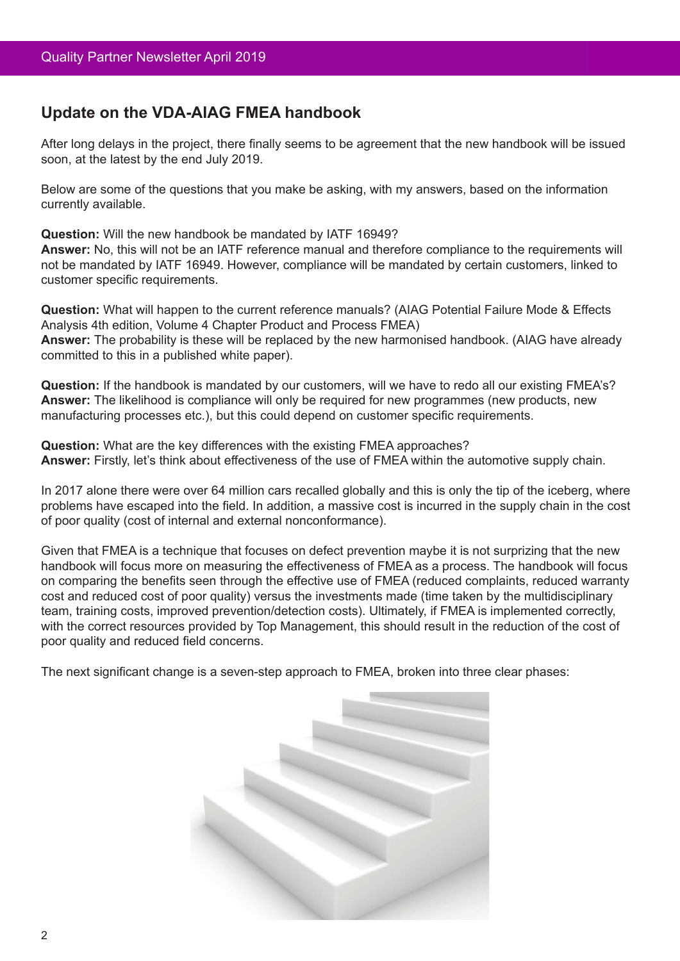# **Update on the VDA-AIAG FMEA handbook**

After long delays in the project, there finally seems to be agreement that the new handbook will be issued soon, at the latest by the end July 2019.

Below are some of the questions that you make be asking, with my answers, based on the information currently available.

**Question:** Will the new handbook be mandated by IATF 16949?

**Answer:** No, this will not be an IATF reference manual and therefore compliance to the requirements will not be mandated by IATF 16949. However, compliance will be mandated by certain customers, linked to customer specific requirements.

**Question:** What will happen to the current reference manuals? (AIAG Potential Failure Mode & Effects Analysis 4th edition, Volume 4 Chapter Product and Process FMEA) **Answer:** The probability is these will be replaced by the new harmonised handbook. (AIAG have already committed to this in a published white paper).

**Question:** If the handbook is mandated by our customers, will we have to redo all our existing FMEA's? **Answer:** The likelihood is compliance will only be required for new programmes (new products, new manufacturing processes etc.), but this could depend on customer specific requirements.

**Question:** What are the key differences with the existing FMEA approaches? **Answer:** Firstly, let's think about effectiveness of the use of FMEA within the automotive supply chain.

In 2017 alone there were over 64 million cars recalled globally and this is only the tip of the iceberg, where problems have escaped into the field. In addition, a massive cost is incurred in the supply chain in the cost of poor quality (cost of internal and external nonconformance).

Given that FMEA is a technique that focuses on defect prevention maybe it is not surprizing that the new handbook will focus more on measuring the effectiveness of FMEA as a process. The handbook will focus on comparing the benefits seen through the effective use of FMEA (reduced complaints, reduced warranty cost and reduced cost of poor quality) versus the investments made (time taken by the multidisciplinary team, training costs, improved prevention/detection costs). Ultimately, if FMEA is implemented correctly, with the correct resources provided by Top Management, this should result in the reduction of the cost of poor quality and reduced field concerns.

The next significant change is a seven-step approach to FMEA, broken into three clear phases:

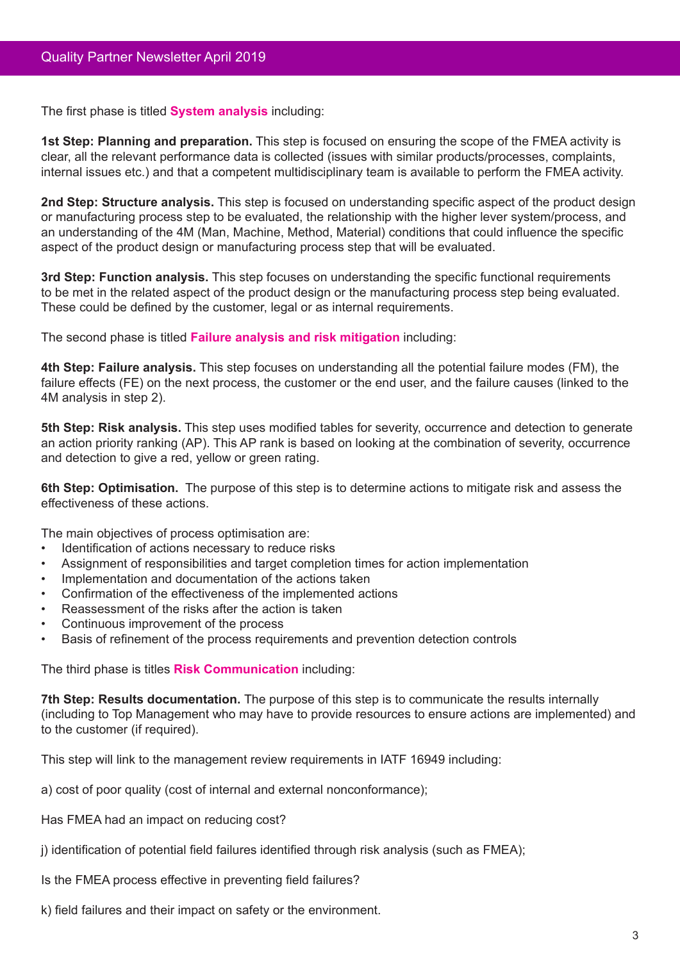The first phase is titled **System analysis** including:

**1st Step: Planning and preparation.** This step is focused on ensuring the scope of the FMEA activity is clear, all the relevant performance data is collected (issues with similar products/processes, complaints, internal issues etc.) and that a competent multidisciplinary team is available to perform the FMEA activity.

**2nd Step: Structure analysis.** This step is focused on understanding specific aspect of the product design or manufacturing process step to be evaluated, the relationship with the higher lever system/process, and an understanding of the 4M (Man, Machine, Method, Material) conditions that could influence the specific aspect of the product design or manufacturing process step that will be evaluated.

**3rd Step: Function analysis.** This step focuses on understanding the specific functional requirements to be met in the related aspect of the product design or the manufacturing process step being evaluated. These could be defined by the customer, legal or as internal requirements.

The second phase is titled **Failure analysis and risk mitigation** including:

**4th Step: Failure analysis.** This step focuses on understanding all the potential failure modes (FM), the failure effects (FE) on the next process, the customer or the end user, and the failure causes (linked to the 4M analysis in step 2).

**5th Step: Risk analysis.** This step uses modified tables for severity, occurrence and detection to generate an action priority ranking (AP). This AP rank is based on looking at the combination of severity, occurrence and detection to give a red, yellow or green rating.

**6th Step: Optimisation.** The purpose of this step is to determine actions to mitigate risk and assess the effectiveness of these actions.

The main objectives of process optimisation are:

- • Identification of actions necessary to reduce risks
- Assignment of responsibilities and target completion times for action implementation
- Implementation and documentation of the actions taken
- Confirmation of the effectiveness of the implemented actions
- Reassessment of the risks after the action is taken
- Continuous improvement of the process
- Basis of refinement of the process requirements and prevention detection controls

The third phase is titles **Risk Communication** including:

**7th Step: Results documentation.** The purpose of this step is to communicate the results internally (including to Top Management who may have to provide resources to ensure actions are implemented) and to the customer (if required).

This step will link to the management review requirements in IATF 16949 including:

a) cost of poor quality (cost of internal and external nonconformance);

Has FMEA had an impact on reducing cost?

- j) identification of potential field failures identified through risk analysis (such as FMEA);
- Is the FMEA process effective in preventing field failures?
- k) field failures and their impact on safety or the environment.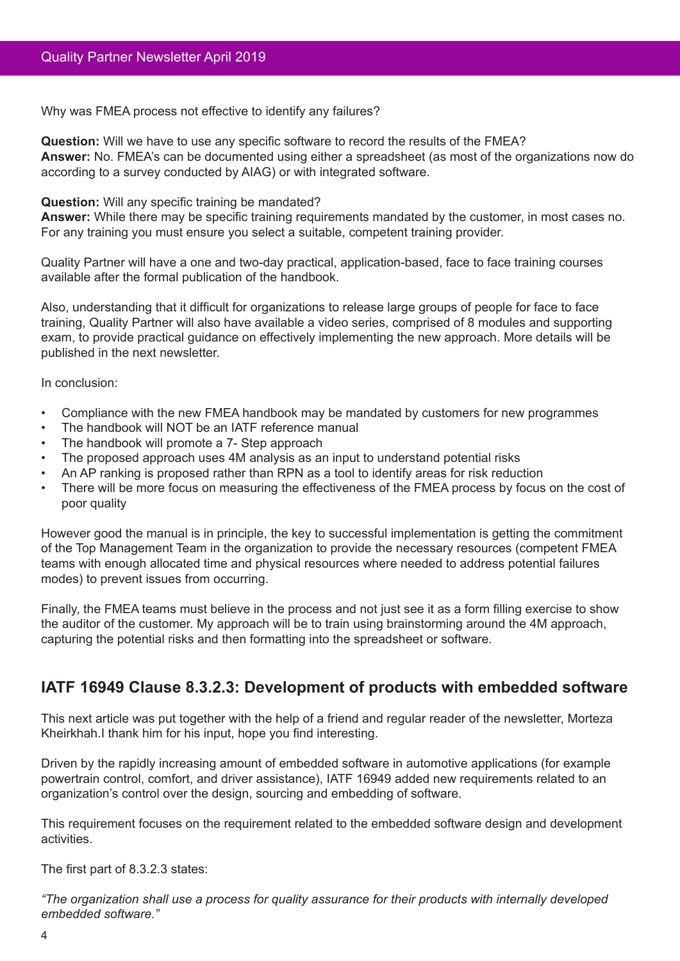Why was FMEA process not effective to identify any failures?

**Question:** Will we have to use any specific software to record the results of the FMEA? **Answer:** No. FMEA's can be documented using either a spreadsheet (as most of the organizations now do according to a survey conducted by AIAG) or with integrated software.

**Question:** Will any specific training be mandated?

**Answer:** While there may be specific training requirements mandated by the customer, in most cases no. For any training you must ensure you select a suitable, competent training provider.

Quality Partner will have a one and two-day practical, application-based, face to face training courses available after the formal publication of the handbook.

Also, understanding that it difficult for organizations to release large groups of people for face to face training, Quality Partner will also have available a video series, comprised of 8 modules and supporting exam, to provide practical guidance on effectively implementing the new approach. More details will be published in the next newsletter.

In conclusion:

- Compliance with the new FMEA handbook may be mandated by customers for new programmes
- The handbook will NOT be an IATF reference manual
- The handbook will promote a 7- Step approach
- The proposed approach uses 4M analysis as an input to understand potential risks
- An AP ranking is proposed rather than RPN as a tool to identify areas for risk reduction
- There will be more focus on measuring the effectiveness of the FMEA process by focus on the cost of poor quality

However good the manual is in principle, the key to successful implementation is getting the commitment of the Top Management Team in the organization to provide the necessary resources (competent FMEA teams with enough allocated time and physical resources where needed to address potential failures modes) to prevent issues from occurring.

Finally, the FMEA teams must believe in the process and not just see it as a form filling exercise to show the auditor of the customer. My approach will be to train using brainstorming around the 4M approach, capturing the potential risks and then formatting into the spreadsheet or software.

# **IATF 16949 Clause 8.3.2.3: Development of products with embedded software**

This next article was put together with the help of a friend and regular reader of the newsletter, Morteza Kheirkhah.I thank him for his input, hope you find interesting.

Driven by the rapidly increasing amount of embedded software in automotive applications (for example powertrain control, comfort, and driver assistance), IATF 16949 added new requirements related to an organization's control over the design, sourcing and embedding of software.

This requirement focuses on the requirement related to the embedded software design and development activities.

The first part of 8.3.2.3 states:

*"The organization shall use a process for quality assurance for their products with internally developed embedded software."*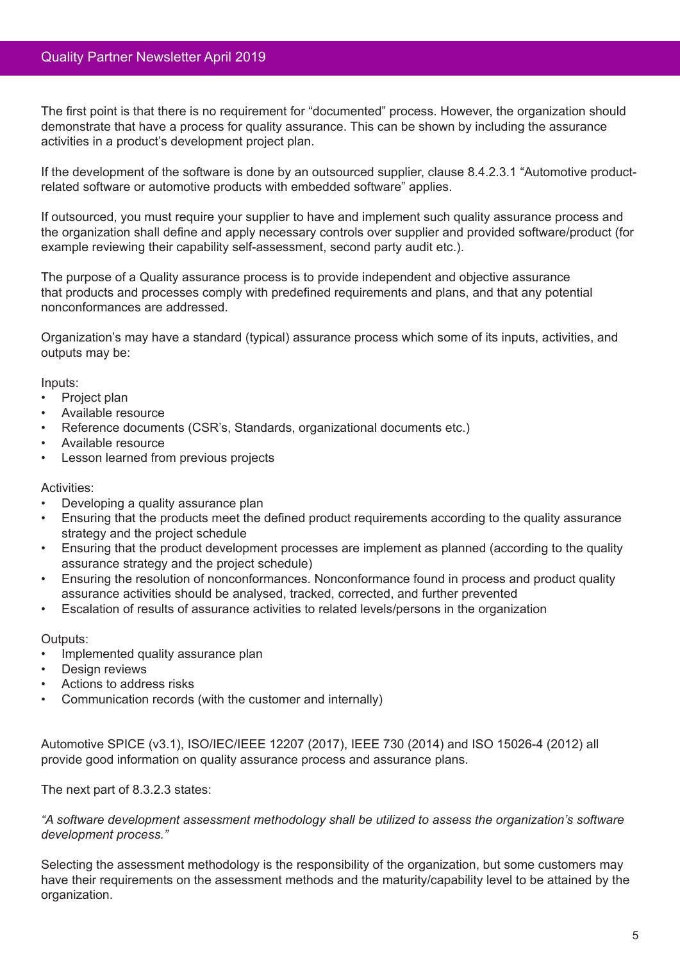The first point is that there is no requirement for "documented" process. However, the organization should demonstrate that have a process for quality assurance. This can be shown by including the assurance activities in a product's development project plan.

If the development of the software is done by an outsourced supplier, clause 8.4.2.3.1 "Automotive productrelated software or automotive products with embedded software" applies.

If outsourced, you must require your supplier to have and implement such quality assurance process and the organization shall define and apply necessary controls over supplier and provided software/product (for example reviewing their capability self-assessment, second party audit etc.).

The purpose of a Quality assurance process is to provide independent and objective assurance that products and processes comply with predefined requirements and plans, and that any potential nonconformances are addressed.

Organization's may have a standard (typical) assurance process which some of its inputs, activities, and outputs may be:

Inputs:

- Project plan
- Available resource
- Reference documents (CSR's, Standards, organizational documents etc.)
- Available resource
- **Lesson learned from previous projects**

#### Activities:

- Developing a quality assurance plan
- Ensuring that the products meet the defined product requirements according to the quality assurance strategy and the project schedule
- Ensuring that the product development processes are implement as planned (according to the quality assurance strategy and the project schedule)
- Ensuring the resolution of nonconformances. Nonconformance found in process and product quality assurance activities should be analysed, tracked, corrected, and further prevented
- Escalation of results of assurance activities to related levels/persons in the organization

Outputs:

- Implemented quality assurance plan
- Design reviews
- Actions to address risks
- Communication records (with the customer and internally)

Automotive SPICE (v3.1), ISO/IEC/IEEE 12207 (2017), IEEE 730 (2014) and ISO 15026-4 (2012) all provide good information on quality assurance process and assurance plans.

The next part of 8.3.2.3 states:

*"A software development assessment methodology shall be utilized to assess the organization's software development process."*

Selecting the assessment methodology is the responsibility of the organization, but some customers may have their requirements on the assessment methods and the maturity/capability level to be attained by the organization.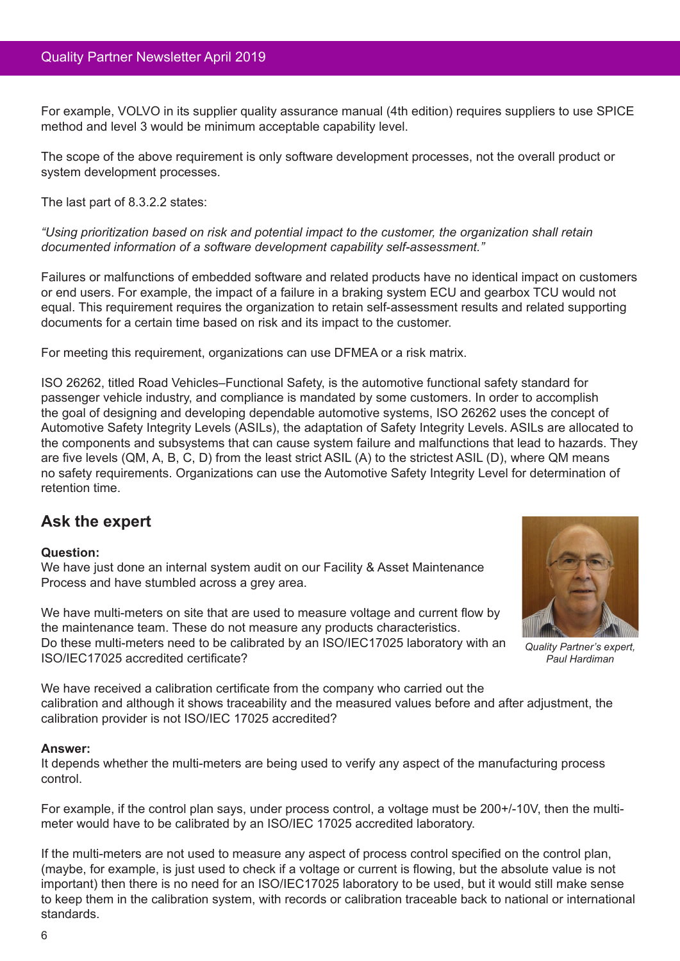For example, VOLVO in its supplier quality assurance manual (4th edition) requires suppliers to use SPICE method and level 3 would be minimum acceptable capability level.

The scope of the above requirement is only software development processes, not the overall product or system development processes.

The last part of 8.3.2.2 states:

*"Using prioritization based on risk and potential impact to the customer, the organization shall retain documented information of a software development capability self-assessment."*

Failures or malfunctions of embedded software and related products have no identical impact on customers or end users. For example, the impact of a failure in a braking system ECU and gearbox TCU would not equal. This requirement requires the organization to retain self-assessment results and related supporting documents for a certain time based on risk and its impact to the customer.

For meeting this requirement, organizations can use DFMEA or a risk matrix.

ISO 26262, titled Road Vehicles–Functional Safety, is the automotive functional safety standard for passenger vehicle industry, and compliance is mandated by some customers. In order to accomplish the goal of designing and developing dependable automotive systems, ISO 26262 uses the concept of Automotive Safety Integrity Levels (ASILs), the adaptation of Safety Integrity Levels. ASILs are allocated to the components and subsystems that can cause system failure and malfunctions that lead to hazards. They are five levels (QM, A, B, C, D) from the least strict ASIL (A) to the strictest ASIL (D), where QM means no safety requirements. Organizations can use the Automotive Safety Integrity Level for determination of retention time.

# **Ask the expert**

# **Question:**

We have just done an internal system audit on our Facility & Asset Maintenance Process and have stumbled across a grey area.

We have multi-meters on site that are used to measure voltage and current flow by the maintenance team. These do not measure any products characteristics. Do these multi-meters need to be calibrated by an ISO/IEC17025 laboratory with an ISO/IEC17025 accredited certificate?



*Quality Partner's expert, Paul Hardiman*

We have received a calibration certificate from the company who carried out the calibration and although it shows traceability and the measured values before and after adjustment, the calibration provider is not ISO/IEC 17025 accredited?

# **Answer:**

It depends whether the multi-meters are being used to verify any aspect of the manufacturing process control.

For example, if the control plan says, under process control, a voltage must be 200+/-10V, then the multimeter would have to be calibrated by an ISO/IEC 17025 accredited laboratory.

If the multi-meters are not used to measure any aspect of process control specified on the control plan, (maybe, for example, is just used to check if a voltage or current is flowing, but the absolute value is not important) then there is no need for an ISO/IEC17025 laboratory to be used, but it would still make sense to keep them in the calibration system, with records or calibration traceable back to national or international standards.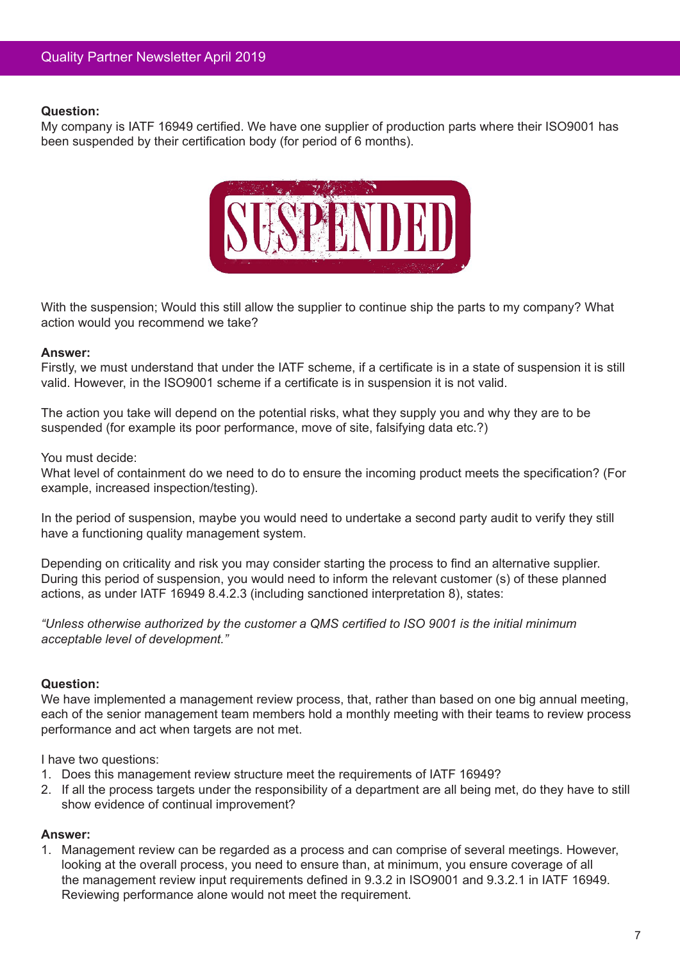My company is IATF 16949 certified. We have one supplier of production parts where their ISO9001 has been suspended by their certification body (for period of 6 months).



With the suspension; Would this still allow the supplier to continue ship the parts to my company? What action would you recommend we take?

## **Answer:**

Firstly, we must understand that under the IATF scheme, if a certificate is in a state of suspension it is still valid. However, in the ISO9001 scheme if a certificate is in suspension it is not valid.

The action you take will depend on the potential risks, what they supply you and why they are to be suspended (for example its poor performance, move of site, falsifying data etc.?)

#### You must decide:

What level of containment do we need to do to ensure the incoming product meets the specification? (For example, increased inspection/testing).

In the period of suspension, maybe you would need to undertake a second party audit to verify they still have a functioning quality management system.

Depending on criticality and risk you may consider starting the process to find an alternative supplier. During this period of suspension, you would need to inform the relevant customer (s) of these planned actions, as under IATF 16949 8.4.2.3 (including sanctioned interpretation 8), states:

*"Unless otherwise authorized by the customer a QMS certified to ISO 9001 is the initial minimum acceptable level of development."*

#### **Question:**

We have implemented a management review process, that, rather than based on one big annual meeting, each of the senior management team members hold a monthly meeting with their teams to review process performance and act when targets are not met.

I have two questions:

- 1. Does this management review structure meet the requirements of IATF 16949?
- 2. If all the process targets under the responsibility of a department are all being met, do they have to still show evidence of continual improvement?

# **Answer:**

1. Management review can be regarded as a process and can comprise of several meetings. However, looking at the overall process, you need to ensure than, at minimum, you ensure coverage of all the management review input requirements defined in 9.3.2 in ISO9001 and 9.3.2.1 in IATF 16949. Reviewing performance alone would not meet the requirement.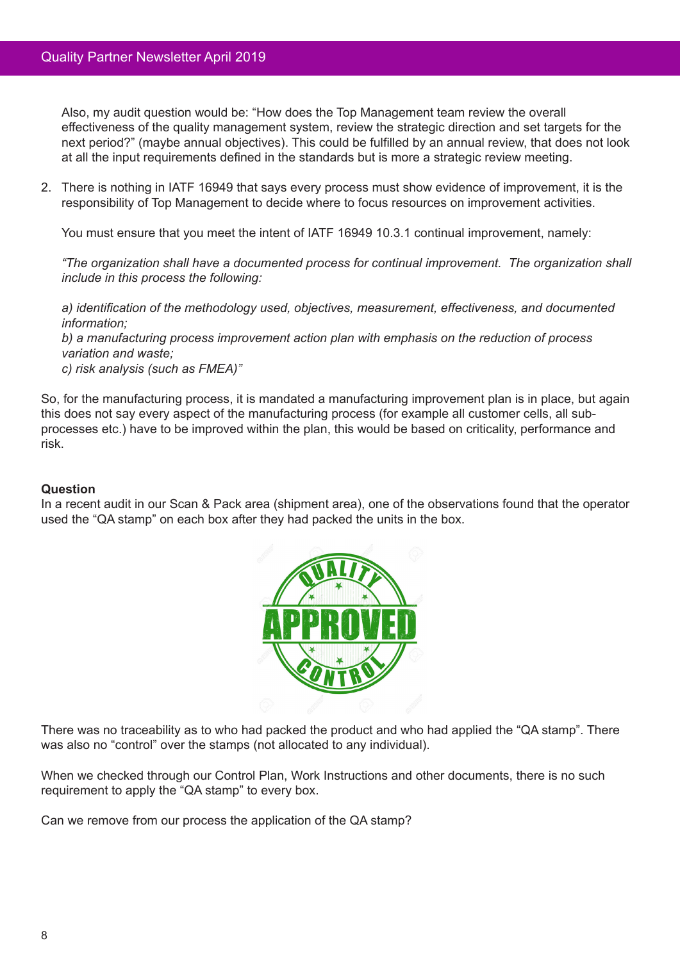Also, my audit question would be: "How does the Top Management team review the overall effectiveness of the quality management system, review the strategic direction and set targets for the next period?" (maybe annual objectives). This could be fulfilled by an annual review, that does not look at all the input requirements defined in the standards but is more a strategic review meeting.

2. There is nothing in IATF 16949 that says every process must show evidence of improvement, it is the responsibility of Top Management to decide where to focus resources on improvement activities.

You must ensure that you meet the intent of IATF 16949 10.3.1 continual improvement, namely:

*"The organization shall have a documented process for continual improvement. The organization shall include in this process the following:*

*a) identification of the methodology used, objectives, measurement, effectiveness, and documented information;*

*b) a manufacturing process improvement action plan with emphasis on the reduction of process variation and waste;*

*c) risk analysis (such as FMEA)"*

So, for the manufacturing process, it is mandated a manufacturing improvement plan is in place, but again this does not say every aspect of the manufacturing process (for example all customer cells, all subprocesses etc.) have to be improved within the plan, this would be based on criticality, performance and risk.

#### **Question**

In a recent audit in our Scan & Pack area (shipment area), one of the observations found that the operator used the "QA stamp" on each box after they had packed the units in the box.



There was no traceability as to who had packed the product and who had applied the "QA stamp". There was also no "control" over the stamps (not allocated to any individual).

When we checked through our Control Plan, Work Instructions and other documents, there is no such requirement to apply the "QA stamp" to every box.

Can we remove from our process the application of the QA stamp?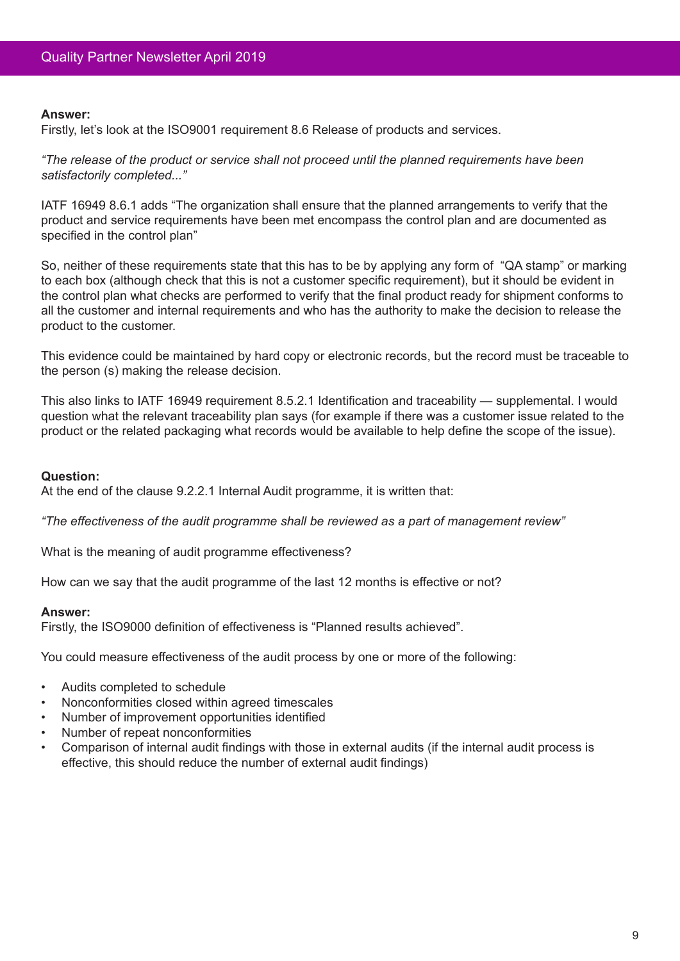#### **Answer:**

Firstly, let's look at the ISO9001 requirement 8.6 Release of products and services.

*"The release of the product or service shall not proceed until the planned requirements have been satisfactorily completed..."*

IATF 16949 8.6.1 adds "The organization shall ensure that the planned arrangements to verify that the product and service requirements have been met encompass the control plan and are documented as specified in the control plan"

So, neither of these requirements state that this has to be by applying any form of "QA stamp" or marking to each box (although check that this is not a customer specific requirement), but it should be evident in the control plan what checks are performed to verify that the final product ready for shipment conforms to all the customer and internal requirements and who has the authority to make the decision to release the product to the customer.

This evidence could be maintained by hard copy or electronic records, but the record must be traceable to the person (s) making the release decision.

This also links to IATF 16949 requirement 8.5.2.1 Identification and traceability — supplemental. I would question what the relevant traceability plan says (for example if there was a customer issue related to the product or the related packaging what records would be available to help define the scope of the issue).

# **Question:**

At the end of the clause 9.2.2.1 Internal Audit programme, it is written that:

*"The effectiveness of the audit programme shall be reviewed as a part of management review"*

What is the meaning of audit programme effectiveness?

How can we say that the audit programme of the last 12 months is effective or not?

#### **Answer:**

Firstly, the ISO9000 definition of effectiveness is "Planned results achieved".

You could measure effectiveness of the audit process by one or more of the following:

- • Audits completed to schedule
- Nonconformities closed within agreed timescales
- Number of improvement opportunities identified
- Number of repeat nonconformities
- Comparison of internal audit findings with those in external audits (if the internal audit process is effective, this should reduce the number of external audit findings)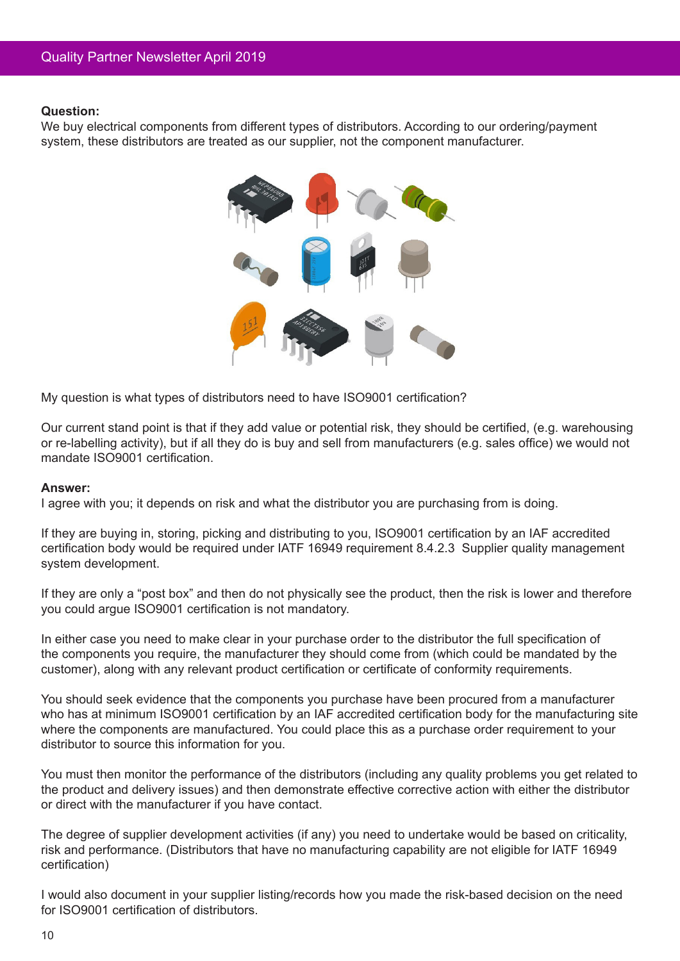We buy electrical components from different types of distributors. According to our ordering/payment system, these distributors are treated as our supplier, not the component manufacturer.



My question is what types of distributors need to have ISO9001 certification?

Our current stand point is that if they add value or potential risk, they should be certified, (e.g. warehousing or re-labelling activity), but if all they do is buy and sell from manufacturers (e.g. sales office) we would not mandate ISO9001 certification.

#### **Answer:**

I agree with you; it depends on risk and what the distributor you are purchasing from is doing.

If they are buying in, storing, picking and distributing to you, ISO9001 certification by an IAF accredited certification body would be required under IATF 16949 requirement 8.4.2.3 Supplier quality management system development.

If they are only a "post box" and then do not physically see the product, then the risk is lower and therefore you could argue ISO9001 certification is not mandatory.

In either case you need to make clear in your purchase order to the distributor the full specification of the components you require, the manufacturer they should come from (which could be mandated by the customer), along with any relevant product certification or certificate of conformity requirements.

You should seek evidence that the components you purchase have been procured from a manufacturer who has at minimum ISO9001 certification by an IAF accredited certification body for the manufacturing site where the components are manufactured. You could place this as a purchase order requirement to your distributor to source this information for you.

You must then monitor the performance of the distributors (including any quality problems you get related to the product and delivery issues) and then demonstrate effective corrective action with either the distributor or direct with the manufacturer if you have contact.

The degree of supplier development activities (if any) you need to undertake would be based on criticality, risk and performance. (Distributors that have no manufacturing capability are not eligible for IATF 16949 certification)

I would also document in your supplier listing/records how you made the risk-based decision on the need for ISO9001 certification of distributors.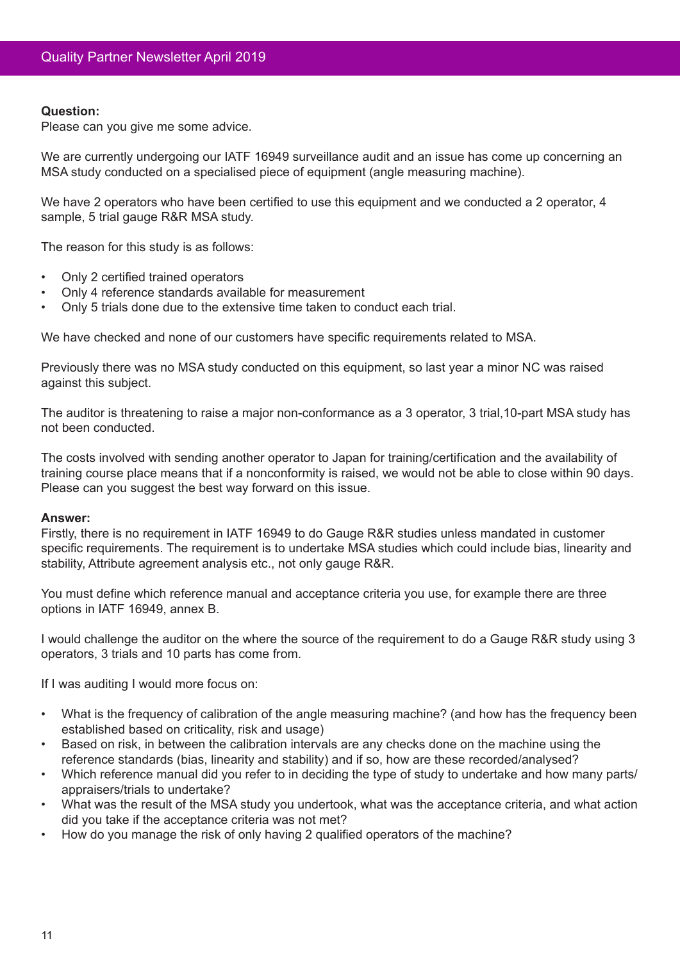Please can you give me some advice.

We are currently undergoing our IATF 16949 surveillance audit and an issue has come up concerning an MSA study conducted on a specialised piece of equipment (angle measuring machine).

We have 2 operators who have been certified to use this equipment and we conducted a 2 operator, 4 sample, 5 trial gauge R&R MSA study.

The reason for this study is as follows:

- Only 2 certified trained operators
- Only 4 reference standards available for measurement
- Only 5 trials done due to the extensive time taken to conduct each trial.

We have checked and none of our customers have specific requirements related to MSA.

Previously there was no MSA study conducted on this equipment, so last year a minor NC was raised against this subject.

The auditor is threatening to raise a major non-conformance as a 3 operator, 3 trial,10-part MSA study has not been conducted.

The costs involved with sending another operator to Japan for training/certification and the availability of training course place means that if a nonconformity is raised, we would not be able to close within 90 days. Please can you suggest the best way forward on this issue.

#### **Answer:**

Firstly, there is no requirement in IATF 16949 to do Gauge R&R studies unless mandated in customer specific requirements. The requirement is to undertake MSA studies which could include bias, linearity and stability, Attribute agreement analysis etc., not only gauge R&R.

You must define which reference manual and acceptance criteria you use, for example there are three options in IATF 16949, annex B.

I would challenge the auditor on the where the source of the requirement to do a Gauge R&R study using 3 operators, 3 trials and 10 parts has come from.

If I was auditing I would more focus on:

- What is the frequency of calibration of the angle measuring machine? (and how has the frequency been established based on criticality, risk and usage)
- Based on risk, in between the calibration intervals are any checks done on the machine using the reference standards (bias, linearity and stability) and if so, how are these recorded/analysed?
- Which reference manual did you refer to in deciding the type of study to undertake and how many parts/ appraisers/trials to undertake?
- What was the result of the MSA study you undertook, what was the acceptance criteria, and what action did you take if the acceptance criteria was not met?
- • How do you manage the risk of only having 2 qualified operators of the machine?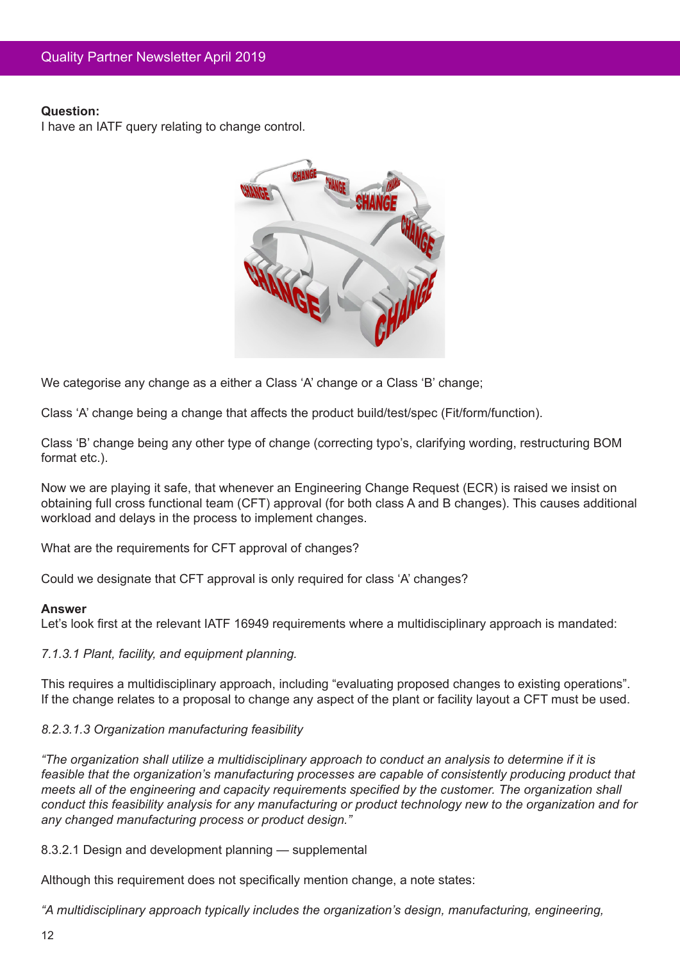I have an IATF query relating to change control.



We categorise any change as a either a Class 'A' change or a Class 'B' change;

Class 'A' change being a change that affects the product build/test/spec (Fit/form/function).

Class 'B' change being any other type of change (correcting typo's, clarifying wording, restructuring BOM format etc.).

Now we are playing it safe, that whenever an Engineering Change Request (ECR) is raised we insist on obtaining full cross functional team (CFT) approval (for both class A and B changes). This causes additional workload and delays in the process to implement changes.

What are the requirements for CFT approval of changes?

Could we designate that CFT approval is only required for class 'A' changes?

#### **Answer**

Let's look first at the relevant IATF 16949 requirements where a multidisciplinary approach is mandated:

*7.1.3.1 Plant, facility, and equipment planning.*

This requires a multidisciplinary approach, including "evaluating proposed changes to existing operations". If the change relates to a proposal to change any aspect of the plant or facility layout a CFT must be used.

# *8.2.3.1.3 Organization manufacturing feasibility*

*"The organization shall utilize a multidisciplinary approach to conduct an analysis to determine if it is feasible that the organization's manufacturing processes are capable of consistently producing product that meets all of the engineering and capacity requirements specified by the customer. The organization shall conduct this feasibility analysis for any manufacturing or product technology new to the organization and for any changed manufacturing process or product design."*

8.3.2.1 Design and development planning — supplemental

Although this requirement does not specifically mention change, a note states:

*"A multidisciplinary approach typically includes the organization's design, manufacturing, engineering,*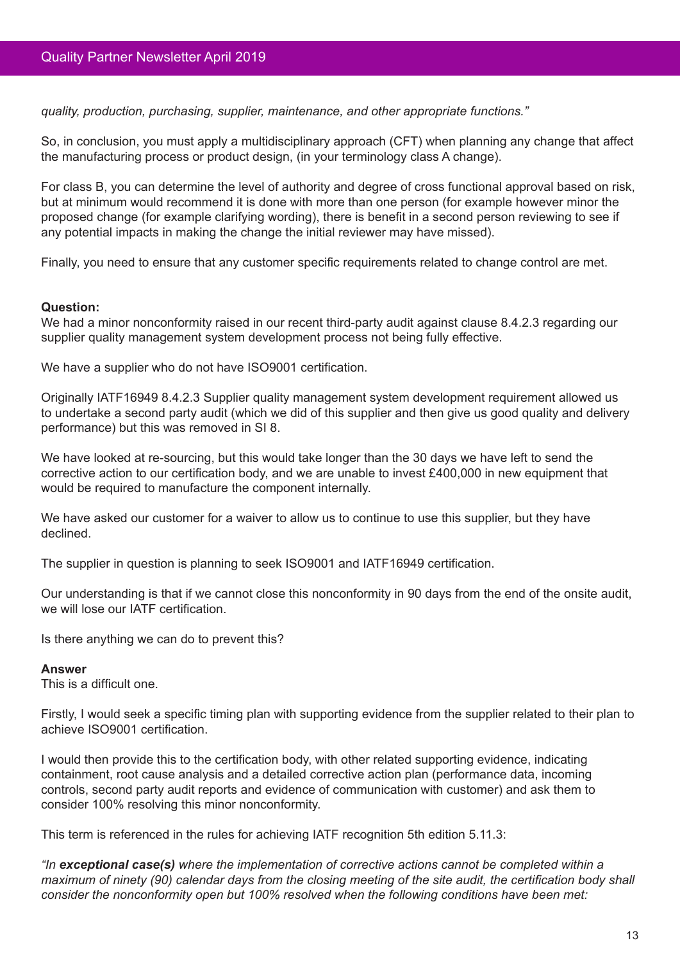*quality, production, purchasing, supplier, maintenance, and other appropriate functions."*

So, in conclusion, you must apply a multidisciplinary approach (CFT) when planning any change that affect the manufacturing process or product design, (in your terminology class A change).

For class B, you can determine the level of authority and degree of cross functional approval based on risk, but at minimum would recommend it is done with more than one person (for example however minor the proposed change (for example clarifying wording), there is benefit in a second person reviewing to see if any potential impacts in making the change the initial reviewer may have missed).

Finally, you need to ensure that any customer specific requirements related to change control are met.

## **Question:**

We had a minor nonconformity raised in our recent third-party audit against clause 8.4.2.3 regarding our supplier quality management system development process not being fully effective.

We have a supplier who do not have ISO9001 certification.

Originally IATF16949 8.4.2.3 Supplier quality management system development requirement allowed us to undertake a second party audit (which we did of this supplier and then give us good quality and delivery performance) but this was removed in SI 8.

We have looked at re-sourcing, but this would take longer than the 30 days we have left to send the corrective action to our certification body, and we are unable to invest £400,000 in new equipment that would be required to manufacture the component internally.

We have asked our customer for a waiver to allow us to continue to use this supplier, but they have declined.

The supplier in question is planning to seek ISO9001 and IATF16949 certification.

Our understanding is that if we cannot close this nonconformity in 90 days from the end of the onsite audit, we will lose our IATF certification.

Is there anything we can do to prevent this?

#### **Answer**

This is a difficult one.

Firstly, I would seek a specific timing plan with supporting evidence from the supplier related to their plan to achieve ISO9001 certification.

I would then provide this to the certification body, with other related supporting evidence, indicating containment, root cause analysis and a detailed corrective action plan (performance data, incoming controls, second party audit reports and evidence of communication with customer) and ask them to consider 100% resolving this minor nonconformity.

This term is referenced in the rules for achieving IATF recognition 5th edition 5.11.3:

*"In exceptional case(s) where the implementation of corrective actions cannot be completed within a maximum of ninety (90) calendar days from the closing meeting of the site audit, the certification body shall consider the nonconformity open but 100% resolved when the following conditions have been met:*